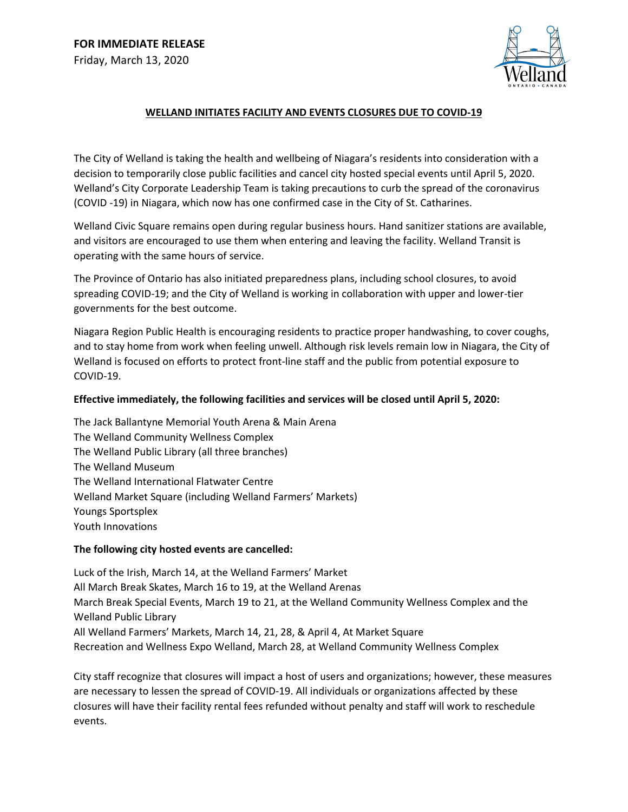

## **WELLAND INITIATES FACILITY AND EVENTS CLOSURES DUE TO COVID-19**

The City of Welland is taking the health and wellbeing of Niagara's residents into consideration with a decision to temporarily close public facilities and cancel city hosted special events until April 5, 2020. Welland's City Corporate Leadership Team is taking precautions to curb the spread of the coronavirus (COVID -19) in Niagara, which now has one confirmed case in the City of St. Catharines.

Welland Civic Square remains open during regular business hours. Hand sanitizer stations are available, and visitors are encouraged to use them when entering and leaving the facility. Welland Transit is operating with the same hours of service.

The Province of Ontario has also initiated preparedness plans, including school closures, to avoid spreading COVID-19; and the City of Welland is working in collaboration with upper and lower-tier governments for the best outcome.

Niagara Region Public Health is encouraging residents to practice proper handwashing, to cover coughs, and to stay home from work when feeling unwell. Although risk levels remain low in Niagara, the City of Welland is focused on efforts to protect front-line staff and the public from potential exposure to COVID-19.

## **Effective immediately, the following facilities and services will be closed until April 5, 2020:**

The Jack Ballantyne Memorial Youth Arena & Main Arena The Welland Community Wellness Complex The Welland Public Library (all three branches) The Welland Museum The Welland International Flatwater Centre Welland Market Square (including Welland Farmers' Markets) Youngs Sportsplex Youth Innovations

## **The following city hosted events are cancelled:**

Luck of the Irish, March 14, at the Welland Farmers' Market All March Break Skates, March 16 to 19, at the Welland Arenas March Break Special Events, March 19 to 21, at the Welland Community Wellness Complex and the Welland Public Library All Welland Farmers' Markets, March 14, 21, 28, & April 4, At Market Square Recreation and Wellness Expo Welland, March 28, at Welland Community Wellness Complex

City staff recognize that closures will impact a host of users and organizations; however, these measures are necessary to lessen the spread of COVID-19. All individuals or organizations affected by these closures will have their facility rental fees refunded without penalty and staff will work to reschedule events.